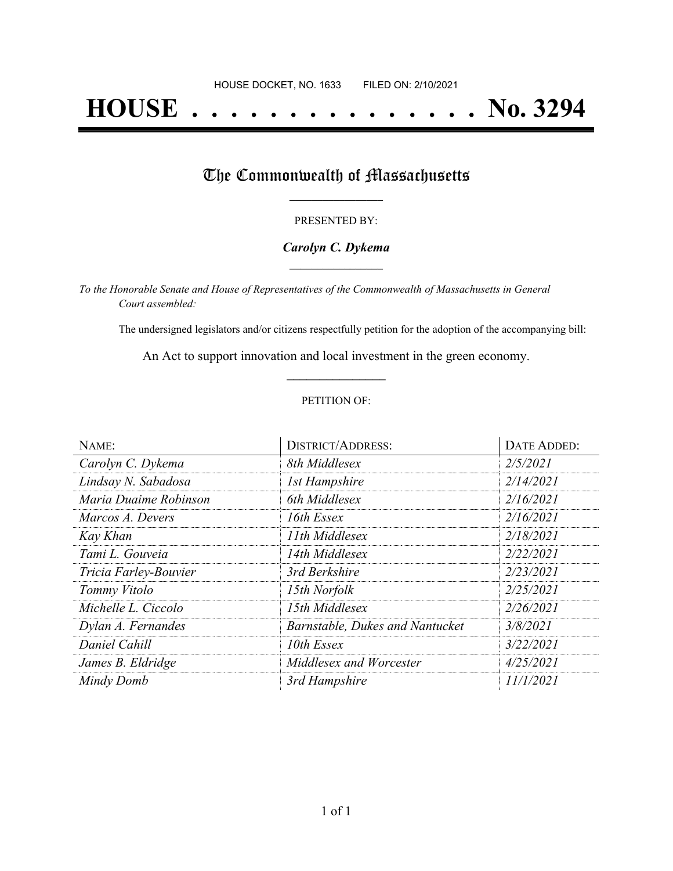# **HOUSE . . . . . . . . . . . . . . . No. 3294**

## The Commonwealth of Massachusetts

#### PRESENTED BY:

#### *Carolyn C. Dykema* **\_\_\_\_\_\_\_\_\_\_\_\_\_\_\_\_\_**

*To the Honorable Senate and House of Representatives of the Commonwealth of Massachusetts in General Court assembled:*

The undersigned legislators and/or citizens respectfully petition for the adoption of the accompanying bill:

An Act to support innovation and local investment in the green economy. **\_\_\_\_\_\_\_\_\_\_\_\_\_\_\_**

#### PETITION OF:

| NAME:                 | <b>DISTRICT/ADDRESS:</b>        | <b>DATE ADDED:</b> |
|-----------------------|---------------------------------|--------------------|
| Carolyn C. Dykema     | 8th Middlesex                   | 2/5/2021           |
| Lindsay N. Sabadosa   | <b>1st Hampshire</b>            | 2/14/2021          |
| Maria Duaime Robinson | 6th Middlesex                   | 2/16/2021          |
| Marcos A. Devers      | 16th Essex                      | 2/16/2021          |
| Kay Khan              | 11th Middlesex                  | 2/18/2021          |
| Tami L. Gouveia       | 14th Middlesex                  | 2/22/2021          |
| Tricia Farley-Bouvier | 3rd Berkshire                   | 2/23/2021          |
| Tommy Vitolo          | 15th Norfolk                    | 2/25/2021          |
| Michelle L. Ciccolo   | 15th Middlesex                  | 2/26/2021          |
| Dylan A. Fernandes    | Barnstable, Dukes and Nantucket | 3/8/2021           |
| Daniel Cahill         | 10th Essex                      | 3/22/2021          |
| James B. Eldridge     | Middlesex and Worcester         | 4/25/2021          |
| Mindy Domb            | 3rd Hampshire                   | 11/1/2021          |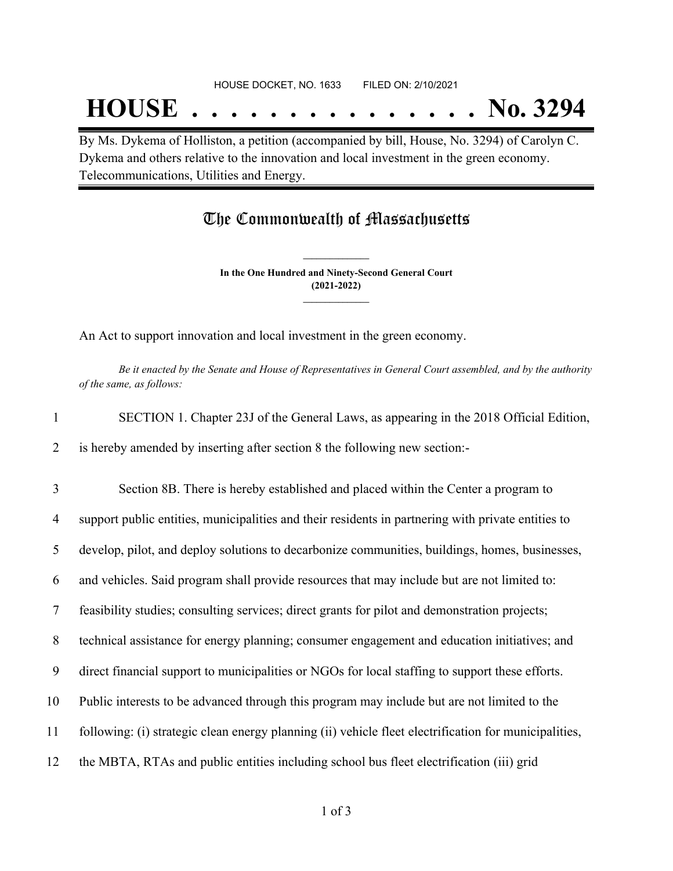## **HOUSE . . . . . . . . . . . . . . . No. 3294**

By Ms. Dykema of Holliston, a petition (accompanied by bill, House, No. 3294) of Carolyn C. Dykema and others relative to the innovation and local investment in the green economy. Telecommunications, Utilities and Energy.

### The Commonwealth of Massachusetts

**In the One Hundred and Ninety-Second General Court (2021-2022) \_\_\_\_\_\_\_\_\_\_\_\_\_\_\_**

**\_\_\_\_\_\_\_\_\_\_\_\_\_\_\_**

An Act to support innovation and local investment in the green economy.

Be it enacted by the Senate and House of Representatives in General Court assembled, and by the authority *of the same, as follows:*

1 SECTION 1. Chapter 23J of the General Laws, as appearing in the 2018 Official Edition, 2 is hereby amended by inserting after section 8 the following new section:-

 Section 8B. There is hereby established and placed within the Center a program to support public entities, municipalities and their residents in partnering with private entities to develop, pilot, and deploy solutions to decarbonize communities, buildings, homes, businesses, and vehicles. Said program shall provide resources that may include but are not limited to: feasibility studies; consulting services; direct grants for pilot and demonstration projects; technical assistance for energy planning; consumer engagement and education initiatives; and direct financial support to municipalities or NGOs for local staffing to support these efforts. Public interests to be advanced through this program may include but are not limited to the following: (i) strategic clean energy planning (ii) vehicle fleet electrification for municipalities, the MBTA, RTAs and public entities including school bus fleet electrification (iii) grid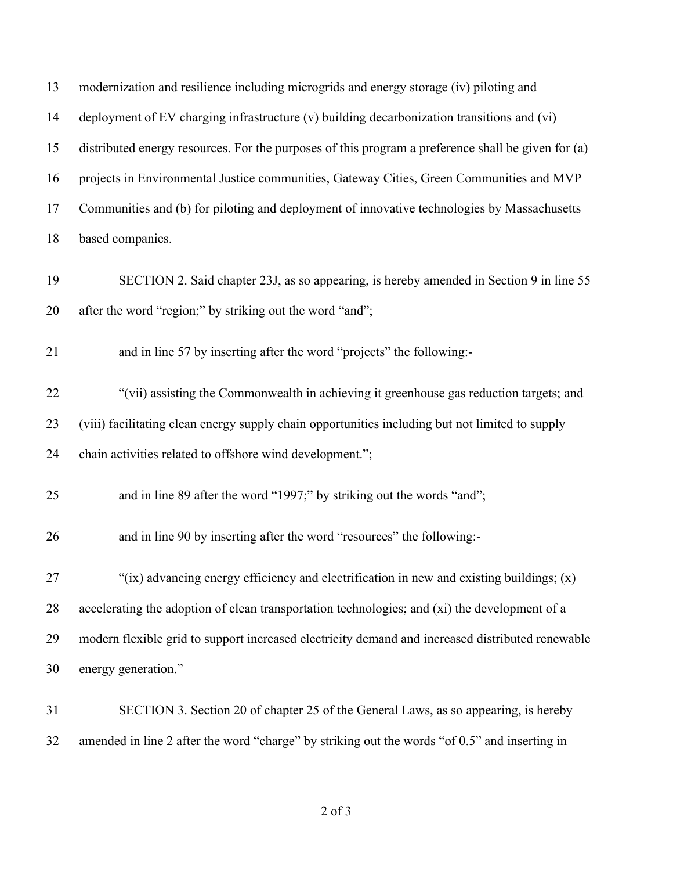| 13 | modernization and resilience including microgrids and energy storage (iv) piloting and             |
|----|----------------------------------------------------------------------------------------------------|
| 14 | deployment of EV charging infrastructure (v) building decarbonization transitions and (vi)         |
| 15 | distributed energy resources. For the purposes of this program a preference shall be given for (a) |
| 16 | projects in Environmental Justice communities, Gateway Cities, Green Communities and MVP           |
| 17 | Communities and (b) for piloting and deployment of innovative technologies by Massachusetts        |
| 18 | based companies.                                                                                   |
| 19 | SECTION 2. Said chapter 23J, as so appearing, is hereby amended in Section 9 in line 55            |
| 20 | after the word "region;" by striking out the word "and";                                           |
| 21 | and in line 57 by inserting after the word "projects" the following:-                              |
| 22 | "(vii) assisting the Commonwealth in achieving it greenhouse gas reduction targets; and            |
| 23 | (viii) facilitating clean energy supply chain opportunities including but not limited to supply    |
| 24 | chain activities related to offshore wind development.";                                           |
| 25 | and in line 89 after the word "1997;" by striking out the words "and";                             |
| 26 | and in line 90 by inserting after the word "resources" the following:-                             |
| 27 | "(ix) advancing energy efficiency and electrification in new and existing buildings; (x)           |
| 28 | accelerating the adoption of clean transportation technologies; and (xi) the development of a      |
| 29 | modern flexible grid to support increased electricity demand and increased distributed renewable   |
| 30 | energy generation."                                                                                |
| 31 | SECTION 3. Section 20 of chapter 25 of the General Laws, as so appearing, is hereby                |
| 32 | amended in line 2 after the word "charge" by striking out the words "of 0.5" and inserting in      |

of 3